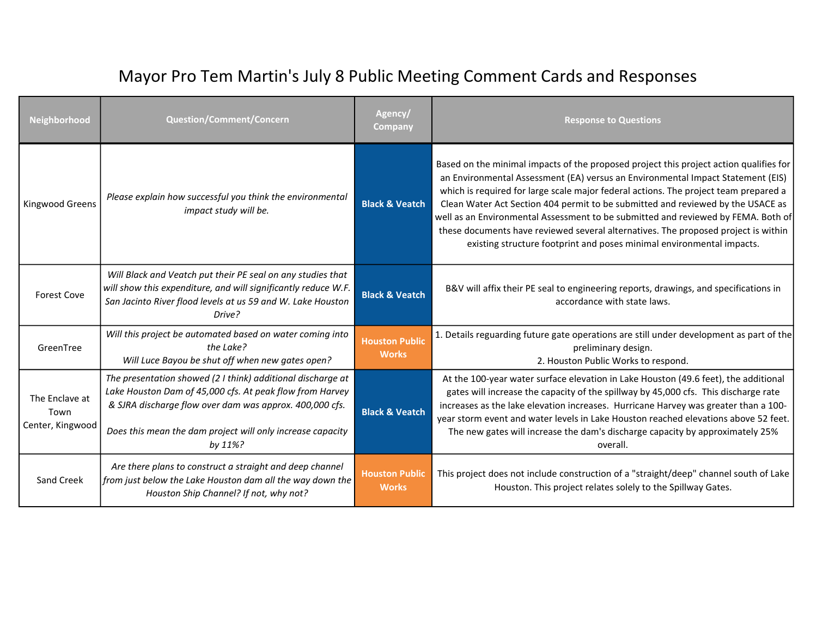| Neighborhood                               | <b>Question/Comment/Concern</b>                                                                                                                                                                                                                             | Agency/<br><b>Company</b>             | <b>Response to Questions</b>                                                                                                                                                                                                                                                                                                                                                                                                                                                                                                                                                                             |
|--------------------------------------------|-------------------------------------------------------------------------------------------------------------------------------------------------------------------------------------------------------------------------------------------------------------|---------------------------------------|----------------------------------------------------------------------------------------------------------------------------------------------------------------------------------------------------------------------------------------------------------------------------------------------------------------------------------------------------------------------------------------------------------------------------------------------------------------------------------------------------------------------------------------------------------------------------------------------------------|
| Kingwood Greens                            | Please explain how successful you think the environmental<br>impact study will be.                                                                                                                                                                          | <b>Black &amp; Veatch</b>             | Based on the minimal impacts of the proposed project this project action qualifies for<br>an Environmental Assessment (EA) versus an Environmental Impact Statement (EIS)<br>which is required for large scale major federal actions. The project team prepared a<br>Clean Water Act Section 404 permit to be submitted and reviewed by the USACE as<br>well as an Environmental Assessment to be submitted and reviewed by FEMA. Both of<br>these documents have reviewed several alternatives. The proposed project is within<br>existing structure footprint and poses minimal environmental impacts. |
| <b>Forest Cove</b>                         | Will Black and Veatch put their PE seal on any studies that<br>will show this expenditure, and will significantly reduce W.F.<br>San Jacinto River flood levels at us 59 and W. Lake Houston<br>Drive?                                                      | <b>Black &amp; Veatch</b>             | B&V will affix their PE seal to engineering reports, drawings, and specifications in<br>accordance with state laws.                                                                                                                                                                                                                                                                                                                                                                                                                                                                                      |
| GreenTree                                  | Will this project be automated based on water coming into<br>the Lake?<br>Will Luce Bayou be shut off when new gates open?                                                                                                                                  | <b>Houston Public</b><br><b>Works</b> | 1. Details reguarding future gate operations are still under development as part of the<br>preliminary design.<br>2. Houston Public Works to respond.                                                                                                                                                                                                                                                                                                                                                                                                                                                    |
| The Enclave at<br>Town<br>Center, Kingwood | The presentation showed (2 I think) additional discharge at<br>Lake Houston Dam of 45,000 cfs. At peak flow from Harvey<br>& SJRA discharge flow over dam was approx. 400,000 cfs.<br>Does this mean the dam project will only increase capacity<br>by 11%? | <b>Black &amp; Veatch</b>             | At the 100-year water surface elevation in Lake Houston (49.6 feet), the additional<br>gates will increase the capacity of the spillway by 45,000 cfs. This discharge rate<br>increases as the lake elevation increases. Hurricane Harvey was greater than a 100-<br>year storm event and water levels in Lake Houston reached elevations above 52 feet.<br>The new gates will increase the dam's discharge capacity by approximately 25%<br>overall.                                                                                                                                                    |
| Sand Creek                                 | Are there plans to construct a straight and deep channel<br>from just below the Lake Houston dam all the way down the<br>Houston Ship Channel? If not, why not?                                                                                             | <b>Houston Public</b><br><b>Works</b> | This project does not include construction of a "straight/deep" channel south of Lake<br>Houston. This project relates solely to the Spillway Gates.                                                                                                                                                                                                                                                                                                                                                                                                                                                     |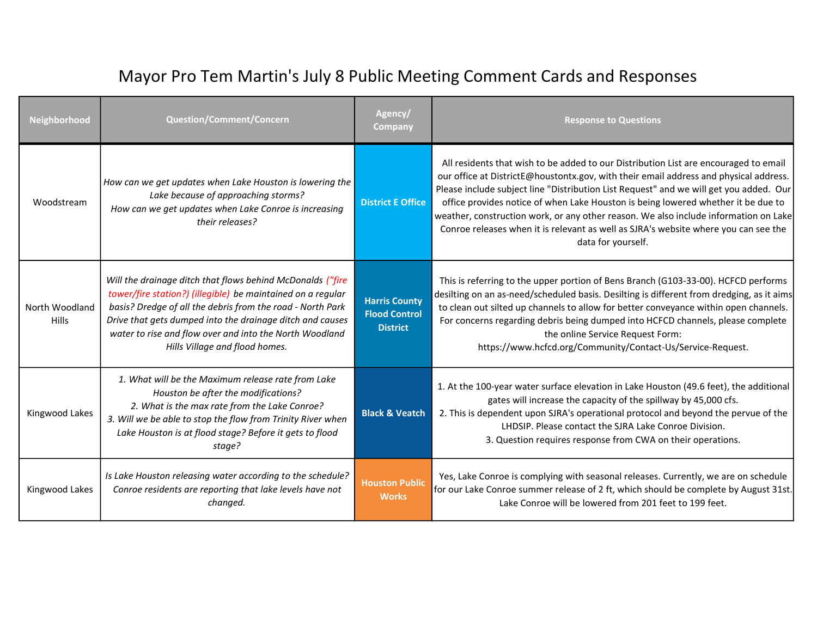| <b>Neighborhood</b>            | <b>Question/Comment/Concern</b>                                                                                                                                                                                                                                                                                                                   | Agency/<br><b>Company</b>                                       | <b>Response to Questions</b>                                                                                                                                                                                                                                                                                                                                                                                                                                                                                                                                      |
|--------------------------------|---------------------------------------------------------------------------------------------------------------------------------------------------------------------------------------------------------------------------------------------------------------------------------------------------------------------------------------------------|-----------------------------------------------------------------|-------------------------------------------------------------------------------------------------------------------------------------------------------------------------------------------------------------------------------------------------------------------------------------------------------------------------------------------------------------------------------------------------------------------------------------------------------------------------------------------------------------------------------------------------------------------|
| Woodstream                     | How can we get updates when Lake Houston is lowering the<br>Lake because of approaching storms?<br>How can we get updates when Lake Conroe is increasing<br>their releases?                                                                                                                                                                       | <b>District E Office</b>                                        | All residents that wish to be added to our Distribution List are encouraged to email<br>our office at DistrictE@houstontx.gov, with their email address and physical address.<br>Please include subject line "Distribution List Request" and we will get you added. Our<br>office provides notice of when Lake Houston is being lowered whether it be due to<br>weather, construction work, or any other reason. We also include information on Lake<br>Conroe releases when it is relevant as well as SJRA's website where you can see the<br>data for yourself. |
| North Woodland<br><b>Hills</b> | Will the drainage ditch that flows behind McDonalds ("fire<br>tower/fire station?) (illegible) be maintained on a regular<br>basis? Dredge of all the debris from the road - North Park<br>Drive that gets dumped into the drainage ditch and causes<br>water to rise and flow over and into the North Woodland<br>Hills Village and flood homes. | <b>Harris County</b><br><b>Flood Control</b><br><b>District</b> | This is referring to the upper portion of Bens Branch (G103-33-00). HCFCD performs<br>desilting on an as-need/scheduled basis. Desilting is different from dredging, as it aims<br>to clean out silted up channels to allow for better conveyance within open channels.<br>For concerns regarding debris being dumped into HCFCD channels, please complete<br>the online Service Request Form:<br>https://www.hcfcd.org/Community/Contact-Us/Service-Request.                                                                                                     |
| Kingwood Lakes                 | 1. What will be the Maximum release rate from Lake<br>Houston be after the modifications?<br>2. What is the max rate from the Lake Conroe?<br>3. Will we be able to stop the flow from Trinity River when<br>Lake Houston is at flood stage? Before it gets to flood<br>stage?                                                                    | <b>Black &amp; Veatch</b>                                       | 1. At the 100-year water surface elevation in Lake Houston (49.6 feet), the additional<br>gates will increase the capacity of the spillway by 45,000 cfs.<br>2. This is dependent upon SJRA's operational protocol and beyond the pervue of the<br>LHDSIP. Please contact the SJRA Lake Conroe Division.<br>3. Question requires response from CWA on their operations.                                                                                                                                                                                           |
| Kingwood Lakes                 | Is Lake Houston releasing water according to the schedule?<br>Conroe residents are reporting that lake levels have not<br>changed.                                                                                                                                                                                                                | <b>Houston Public</b><br><b>Works</b>                           | Yes, Lake Conroe is complying with seasonal releases. Currently, we are on schedule<br>for our Lake Conroe summer release of 2 ft, which should be complete by August 31st.<br>Lake Conroe will be lowered from 201 feet to 199 feet.                                                                                                                                                                                                                                                                                                                             |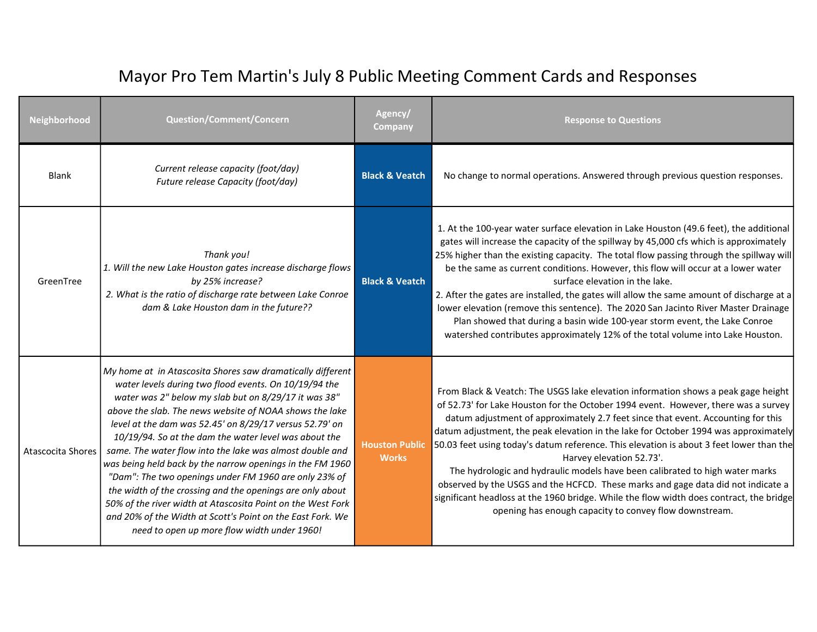| <b>Neighborhood</b>      | <b>Question/Comment/Concern</b>                                                                                                                                                                                                                                                                                                                                                                                                                                                                                                                                                                                                                                                                                                                                                       | Agency/<br>Company                    | <b>Response to Questions</b>                                                                                                                                                                                                                                                                                                                                                                                                                                                                                                                                                                                                                                                                                                                                                                       |
|--------------------------|---------------------------------------------------------------------------------------------------------------------------------------------------------------------------------------------------------------------------------------------------------------------------------------------------------------------------------------------------------------------------------------------------------------------------------------------------------------------------------------------------------------------------------------------------------------------------------------------------------------------------------------------------------------------------------------------------------------------------------------------------------------------------------------|---------------------------------------|----------------------------------------------------------------------------------------------------------------------------------------------------------------------------------------------------------------------------------------------------------------------------------------------------------------------------------------------------------------------------------------------------------------------------------------------------------------------------------------------------------------------------------------------------------------------------------------------------------------------------------------------------------------------------------------------------------------------------------------------------------------------------------------------------|
| Blank                    | Current release capacity (foot/day)<br>Future release Capacity (foot/day)                                                                                                                                                                                                                                                                                                                                                                                                                                                                                                                                                                                                                                                                                                             | <b>Black &amp; Veatch</b>             | No change to normal operations. Answered through previous question responses.                                                                                                                                                                                                                                                                                                                                                                                                                                                                                                                                                                                                                                                                                                                      |
| GreenTree                | Thank you!<br>1. Will the new Lake Houston gates increase discharge flows<br>by 25% increase?<br>2. What is the ratio of discharge rate between Lake Conroe<br>dam & Lake Houston dam in the future??                                                                                                                                                                                                                                                                                                                                                                                                                                                                                                                                                                                 | <b>Black &amp; Veatch</b>             | 1. At the 100-year water surface elevation in Lake Houston (49.6 feet), the additional<br>gates will increase the capacity of the spillway by 45,000 cfs which is approximately<br>25% higher than the existing capacity. The total flow passing through the spillway will<br>be the same as current conditions. However, this flow will occur at a lower water<br>surface elevation in the lake.<br>2. After the gates are installed, the gates will allow the same amount of discharge at a<br>lower elevation (remove this sentence). The 2020 San Jacinto River Master Drainage<br>Plan showed that during a basin wide 100-year storm event, the Lake Conroe<br>watershed contributes approximately 12% of the total volume into Lake Houston.                                                |
| <b>Atascocita Shores</b> | My home at in Atascosita Shores saw dramatically different<br>water levels during two flood events. On 10/19/94 the<br>water was 2" below my slab but on 8/29/17 it was 38"<br>above the slab. The news website of NOAA shows the lake<br>level at the dam was 52.45' on 8/29/17 versus 52.79' on<br>10/19/94. So at the dam the water level was about the<br>same. The water flow into the lake was almost double and<br>was being held back by the narrow openings in the FM 1960<br>"Dam": The two openings under FM 1960 are only 23% of<br>the width of the crossing and the openings are only about<br>50% of the river width at Atascosita Point on the West Fork<br>and 20% of the Width at Scott's Point on the East Fork. We<br>need to open up more flow width under 1960! | <b>Houston Public</b><br><b>Works</b> | From Black & Veatch: The USGS lake elevation information shows a peak gage height<br>of 52.73' for Lake Houston for the October 1994 event. However, there was a survey<br>datum adjustment of approximately 2.7 feet since that event. Accounting for this<br>datum adjustment, the peak elevation in the lake for October 1994 was approximately<br>50.03 feet using today's datum reference. This elevation is about 3 feet lower than the<br>Harvey elevation 52.73'.<br>The hydrologic and hydraulic models have been calibrated to high water marks<br>observed by the USGS and the HCFCD. These marks and gage data did not indicate a<br>significant headloss at the 1960 bridge. While the flow width does contract, the bridge<br>opening has enough capacity to convey flow downstream. |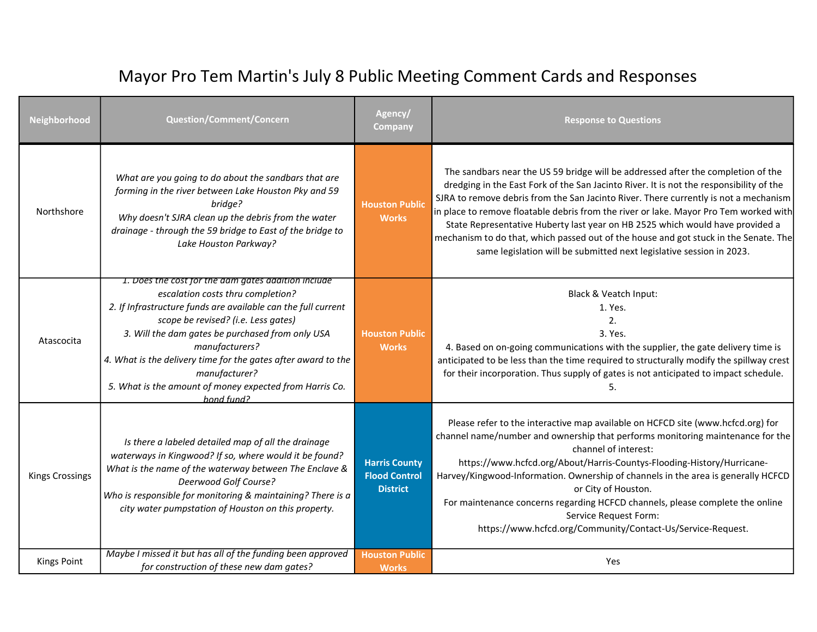| Neighborhood           | Question/Comment/Concern                                                                                                                                                                                                                                                                                                                                                                                                          | Agency/<br>Company                                              | <b>Response to Questions</b>                                                                                                                                                                                                                                                                                                                                                                                                                                                                                                                                                                                  |
|------------------------|-----------------------------------------------------------------------------------------------------------------------------------------------------------------------------------------------------------------------------------------------------------------------------------------------------------------------------------------------------------------------------------------------------------------------------------|-----------------------------------------------------------------|---------------------------------------------------------------------------------------------------------------------------------------------------------------------------------------------------------------------------------------------------------------------------------------------------------------------------------------------------------------------------------------------------------------------------------------------------------------------------------------------------------------------------------------------------------------------------------------------------------------|
| Northshore             | What are you going to do about the sandbars that are<br>forming in the river between Lake Houston Pky and 59<br>bridge?<br>Why doesn't SJRA clean up the debris from the water<br>drainage - through the 59 bridge to East of the bridge to<br>Lake Houston Parkway?                                                                                                                                                              | <b>Houston Public</b><br><b>Works</b>                           | The sandbars near the US 59 bridge will be addressed after the completion of the<br>dredging in the East Fork of the San Jacinto River. It is not the responsibility of the<br>SJRA to remove debris from the San Jacinto River. There currently is not a mechanism<br>in place to remove floatable debris from the river or lake. Mayor Pro Tem worked with<br>State Representative Huberty last year on HB 2525 which would have provided a<br>mechanism to do that, which passed out of the house and got stuck in the Senate. The<br>same legislation will be submitted next legislative session in 2023. |
| Atascocita             | 1. Does the cost for the dam gates addition include<br>escalation costs thru completion?<br>2. If Infrastructure funds are available can the full current<br>scope be revised? (i.e. Less gates)<br>3. Will the dam gates be purchased from only USA<br>manufacturers?<br>4. What is the delivery time for the gates after award to the<br>manufacturer?<br>5. What is the amount of money expected from Harris Co.<br>hond fund? | <b>Houston Public</b><br><b>Works</b>                           | Black & Veatch Input:<br>1. Yes.<br>2.<br>3. Yes.<br>4. Based on on-going communications with the supplier, the gate delivery time is<br>anticipated to be less than the time required to structurally modify the spillway crest<br>for their incorporation. Thus supply of gates is not anticipated to impact schedule.<br>5.                                                                                                                                                                                                                                                                                |
| <b>Kings Crossings</b> | Is there a labeled detailed map of all the drainage<br>waterways in Kingwood? If so, where would it be found?<br>What is the name of the waterway between The Enclave &<br>Deerwood Golf Course?<br>Who is responsible for monitoring & maintaining? There is a<br>city water pumpstation of Houston on this property.                                                                                                            | <b>Harris County</b><br><b>Flood Control</b><br><b>District</b> | Please refer to the interactive map available on HCFCD site (www.hcfcd.org) for<br>channel name/number and ownership that performs monitoring maintenance for the<br>channel of interest:<br>https://www.hcfcd.org/About/Harris-Countys-Flooding-History/Hurricane-<br>Harvey/Kingwood-Information. Ownership of channels in the area is generally HCFCD<br>or City of Houston.<br>For maintenance concerns regarding HCFCD channels, please complete the online<br>Service Request Form:<br>https://www.hcfcd.org/Community/Contact-Us/Service-Request.                                                      |
| <b>Kings Point</b>     | Maybe I missed it but has all of the funding been approved<br>for construction of these new dam gates?                                                                                                                                                                                                                                                                                                                            | <b>Houston Public</b><br><b>Works</b>                           | Yes                                                                                                                                                                                                                                                                                                                                                                                                                                                                                                                                                                                                           |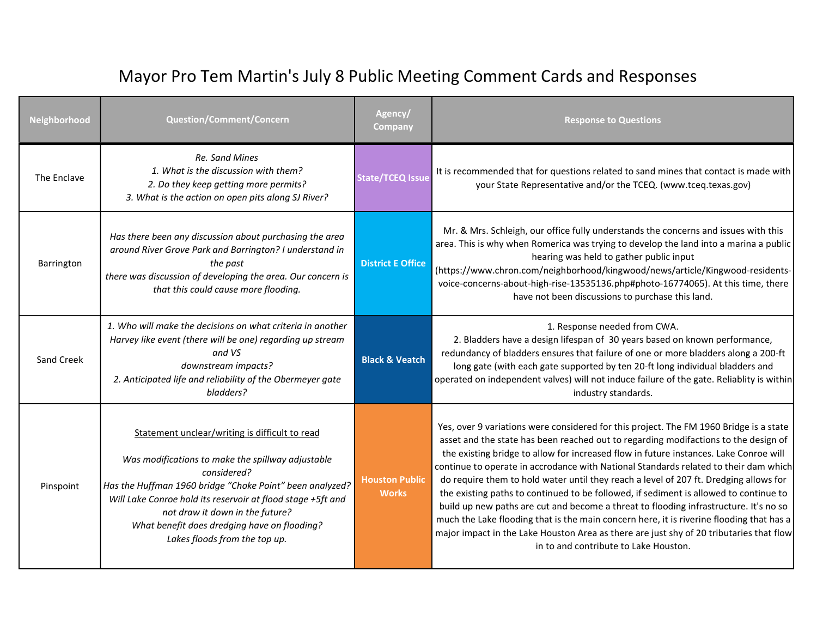| Neighborhood | <b>Question/Comment/Concern</b>                                                                                                                                                                                                                                                                                                                                   | Agency/<br><b>Company</b>             | <b>Response to Questions</b>                                                                                                                                                                                                                                                                                                                                                                                                                                                                                                                                                                                                                                                                                                                                                                                                                                              |
|--------------|-------------------------------------------------------------------------------------------------------------------------------------------------------------------------------------------------------------------------------------------------------------------------------------------------------------------------------------------------------------------|---------------------------------------|---------------------------------------------------------------------------------------------------------------------------------------------------------------------------------------------------------------------------------------------------------------------------------------------------------------------------------------------------------------------------------------------------------------------------------------------------------------------------------------------------------------------------------------------------------------------------------------------------------------------------------------------------------------------------------------------------------------------------------------------------------------------------------------------------------------------------------------------------------------------------|
| The Enclave  | Re. Sand Mines<br>1. What is the discussion with them?<br>2. Do they keep getting more permits?<br>3. What is the action on open pits along SJ River?                                                                                                                                                                                                             | <b>State/TCEQ Issue</b>               | It is recommended that for questions related to sand mines that contact is made with<br>your State Representative and/or the TCEQ. (www.tceq.texas.gov)                                                                                                                                                                                                                                                                                                                                                                                                                                                                                                                                                                                                                                                                                                                   |
| Barrington   | Has there been any discussion about purchasing the area<br>around River Grove Park and Barrington? I understand in<br>the past<br>there was discussion of developing the area. Our concern is<br>that this could cause more flooding.                                                                                                                             | <b>District E Office</b>              | Mr. & Mrs. Schleigh, our office fully understands the concerns and issues with this<br>area. This is why when Romerica was trying to develop the land into a marina a public<br>hearing was held to gather public input<br>(https://www.chron.com/neighborhood/kingwood/news/article/Kingwood-residents-<br>voice-concerns-about-high-rise-13535136.php#photo-16774065). At this time, there<br>have not been discussions to purchase this land.                                                                                                                                                                                                                                                                                                                                                                                                                          |
| Sand Creek   | 1. Who will make the decisions on what criteria in another<br>Harvey like event (there will be one) regarding up stream<br>and VS<br>downstream impacts?<br>2. Anticipated life and reliability of the Obermeyer gate<br>bladders?                                                                                                                                | <b>Black &amp; Veatch</b>             | 1. Response needed from CWA.<br>2. Bladders have a design lifespan of 30 years based on known performance,<br>redundancy of bladders ensures that failure of one or more bladders along a 200-ft<br>long gate (with each gate supported by ten 20-ft long individual bladders and<br>operated on independent valves) will not induce failure of the gate. Reliablity is within<br>industry standards.                                                                                                                                                                                                                                                                                                                                                                                                                                                                     |
| Pinspoint    | Statement unclear/writing is difficult to read<br>Was modifications to make the spillway adjustable<br>considered?<br>Has the Huffman 1960 bridge "Choke Point" been analyzed?<br>Will Lake Conroe hold its reservoir at flood stage +5ft and<br>not draw it down in the future?<br>What benefit does dredging have on flooding?<br>Lakes floods from the top up. | <b>Houston Public</b><br><b>Works</b> | Yes, over 9 variations were considered for this project. The FM 1960 Bridge is a state<br>asset and the state has been reached out to regarding modifactions to the design of<br>the existing bridge to allow for increased flow in future instances. Lake Conroe will<br>continue to operate in accrodance with National Standards related to their dam which<br>do require them to hold water until they reach a level of 207 ft. Dredging allows for<br>the existing paths to continued to be followed, if sediment is allowed to continue to<br>build up new paths are cut and become a threat to flooding infrastructure. It's no so<br>much the Lake flooding that is the main concern here, it is riverine flooding that has a<br>major impact in the Lake Houston Area as there are just shy of 20 tributaries that flow<br>in to and contribute to Lake Houston. |